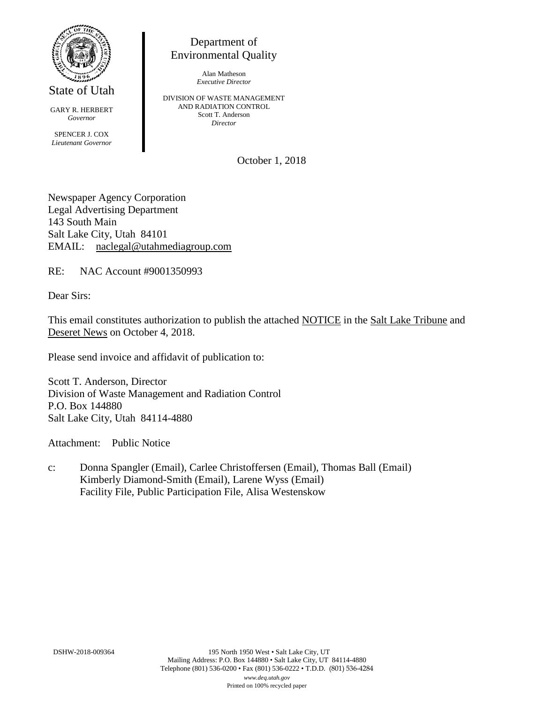

State of Utah

GARY R. HERBERT *Governor* SPENCER J. COX *Lieutenant Governor*

Department of Environmental Quality

> Alan Matheson *Executive Director*

DIVISION OF WASTE MANAGEMENT AND RADIATION CONTROL Scott T. Anderson *Director*

October 1, 2018

Newspaper Agency Corporation Legal Advertising Department 143 South Main Salt Lake City, Utah 84101 EMAIL: naclegal@utahmediagroup.com

RE: NAC Account #9001350993

Dear Sirs:

This email constitutes authorization to publish the attached NOTICE in the Salt Lake Tribune and Deseret News on October 4, 2018.

Please send invoice and affidavit of publication to:

Scott T. Anderson, Director Division of Waste Management and Radiation Control P.O. Box 144880 Salt Lake City, Utah 84114-4880

Attachment: Public Notice

c: Donna Spangler (Email), Carlee Christoffersen (Email), Thomas Ball (Email) Kimberly Diamond-Smith (Email), Larene Wyss (Email) Facility File, Public Participation File, Alisa Westenskow